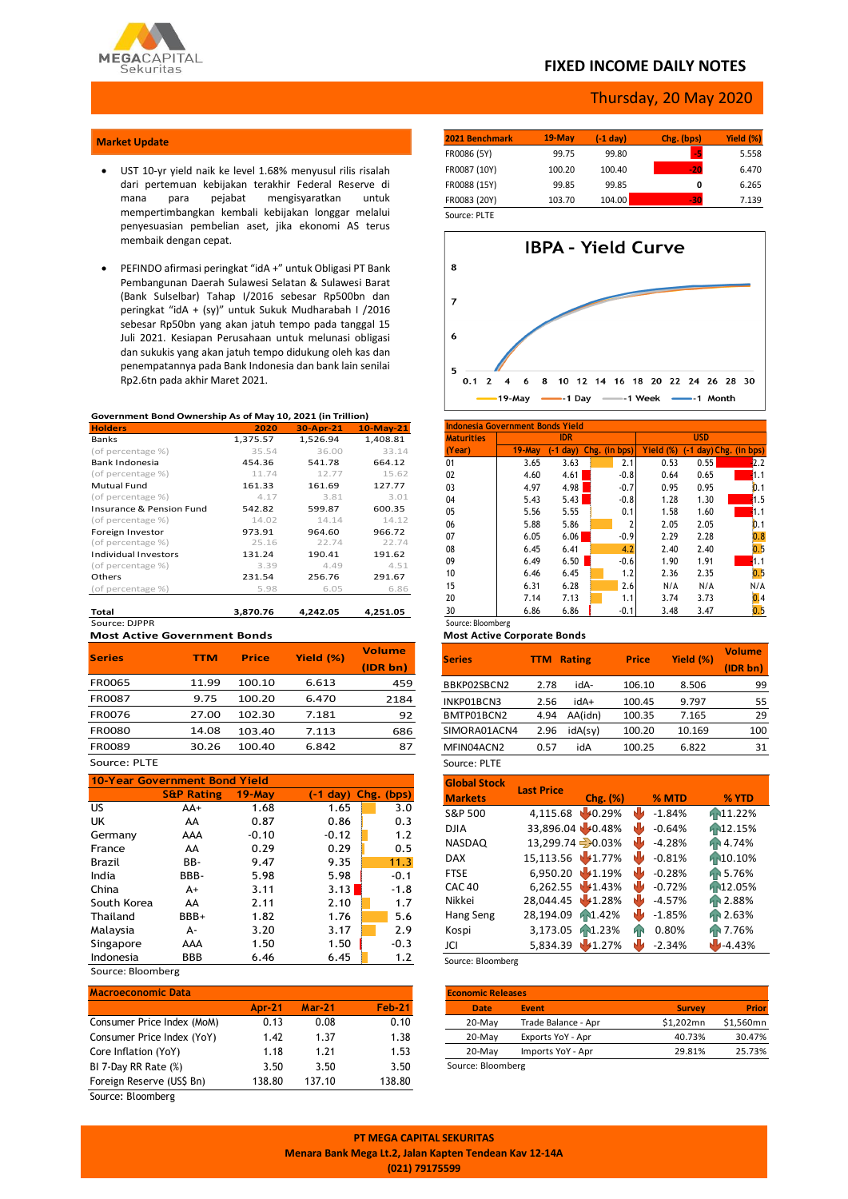

## **FIXED INCOME DAILY NOTES**

### Thursday, 20 May 2020

#### **Market Update**

- UST 10-yr yield naik ke level 1.68% menyusul rilis risalah dari pertemuan kebijakan terakhir Federal Reserve di mana para pejabat mengisyaratkan untuk mempertimbangkan kembali kebijakan longgar melalui penyesuasian pembelian aset, jika ekonomi AS terus membaik dengan cepat.
- PEFINDO afirmasi peringkat "idA +" untuk Obligasi PT Bank Pembangunan Daerah Sulawesi Selatan & Sulawesi Barat (Bank Sulselbar) Tahap I/2016 sebesar Rp500bn dan peringkat "idA + (sy)" untuk Sukuk Mudharabah I /2016 sebesar Rp50bn yang akan jatuh tempo pada tanggal 15 Juli 2021. Kesiapan Perusahaan untuk melunasi obligasi dan sukukis yang akan jatuh tempo didukung oleh kas dan penempatannya pada Bank Indonesia dan bank lain senilai Rp2.6tn pada akhir Maret 2021.

#### **Government Bond Ownership As of May 10, 2021 (in Trillion)**

| <b>Holders</b>                      | 2020     | 30-Apr-21 | $10-May-21$ |
|-------------------------------------|----------|-----------|-------------|
| Banks                               | 1,375.57 | 1,526.94  | 1,408.81    |
| (of percentage %)                   | 35.54    | 36.00     | 33.14       |
| Bank Indonesia                      | 454.36   | 541.78    | 664.12      |
| (of percentage %)                   | 11.74    | 12.77     | 15.62       |
| Mutual Fund                         | 161.33   | 161.69    | 127.77      |
| (of percentage %)                   | 4.17     | 3.81      | 3.01        |
| <b>Insurance &amp; Pension Fund</b> | 542.82   | 599.87    | 600.35      |
| (of percentage %)                   | 14.02    | 14.14     | 14.12       |
| Foreign Investor                    | 973.91   | 964.60    | 966.72      |
| (of percentage %)                   | 25.16    | 22.74     | 22.74       |
| Individual Investors                | 131.24   | 190.41    | 191.62      |
| (of percentage %)                   | 3.39     | 4.49      | 4.51        |
| Others                              | 231.54   | 256.76    | 291.67      |
| (of percentage %)                   | 5.98     | 6.05      | 6.86        |
| Total                               | 3.870.76 | 4.242.05  | 4.251.05    |

Source: DJPPR **Most Active Government Bonds**

| <b>Series</b> | TTM   | <b>Price</b> | Yield (%) | <b>Volume</b> |
|---------------|-------|--------------|-----------|---------------|
|               |       |              |           | (IDR bn)      |
| <b>FR0065</b> | 11.99 | 100.10       | 6.613     | 459           |
| <b>FR0087</b> | 9.75  | 100.20       | 6.470     | 2184          |
| <b>FR0076</b> | 27.00 | 102.30       | 7.181     | 92            |
| <b>FR0080</b> | 14.08 | 103.40       | 7.113     | 686           |
| <b>FR0089</b> | 30.26 | 100.40       | 6.842     | 87            |
|               |       |              |           |               |

#### Source: PLTE

| 10-Year Government Bond Yield |                       |           |            |               |  |  |  |
|-------------------------------|-----------------------|-----------|------------|---------------|--|--|--|
|                               | <b>S&amp;P Rating</b> | $19$ -Mav | $(-1$ day) | Chg.<br>(bps) |  |  |  |
| US                            | AA+                   | 1.68      | 1.65       | 3.0           |  |  |  |
| UK                            | AA                    | 0.87      | 0.86       | 0.3           |  |  |  |
| Germany                       | AAA                   | $-0.10$   | $-0.12$    | 1.2           |  |  |  |
| France                        | AA                    | 0.29      | 0.29       | 0.5           |  |  |  |
| Brazil                        | BB-                   | 9.47      | 9.35       | 11.3          |  |  |  |
| India                         | BBB-                  | 5.98      | 5.98       | $-0.1$        |  |  |  |
| China                         | $A+$                  | 3.11      | 3.13       | $-1.8$        |  |  |  |
| South Korea                   | AA                    | 2.11      | 2.10       | 1.7           |  |  |  |
| Thailand                      | BBB+                  | 1.82      | 1.76       | 5.6           |  |  |  |
| Malaysia                      | А-                    | 3.20      | 3.17       | 2.9           |  |  |  |
| Singapore                     | AAA                   | 1.50      | 1.50       | $-0.3$        |  |  |  |
| Indonesia                     | BBB                   | 6.46      | 6.45       | 1.2           |  |  |  |
| Source: Bloomberg             |                       |           |            |               |  |  |  |

| <b>Macroeconomic Data</b>  |               |          |               |
|----------------------------|---------------|----------|---------------|
|                            | <b>Apr-21</b> | $Mar-21$ | <b>Feb-21</b> |
| Consumer Price Index (MoM) | 0.13          | 0.08     | 0.10          |
| Consumer Price Index (YoY) | 1.42          | 1.37     | 1.38          |
| Core Inflation (YoY)       | 1.18          | 1.21     | 1.53          |
| BI 7-Day RR Rate (%)       | 3.50          | 3.50     | 3.50          |
| Foreign Reserve (US\$ Bn)  | 138.80        | 137.10   | 138.80        |
| Source: Bloomberg          |               |          |               |

**2021 Benchmark 19-May (-1 day) Chg. (bps) Yield (%)** FR0086 (5Y) 99.75 99.80 **-5** 5.558 FR0087 (10Y) 100.20 100.40 **-20** 6.470 FR0088 (15Y) 99.85 99.85 **0** 6.265 FR0083 (20Y) 103.70 104.00 **-30** 7.139 Source: PLTE



| <b>Maturities</b> |           | <b>IDR</b> |               |           | <b>USD</b>                 |      |
|-------------------|-----------|------------|---------------|-----------|----------------------------|------|
| (Year)            | $19$ -May | $(-1 day)$ | Chg. (in bps) | Yield (%) | $(-1 day)$ Chg. $(in bps)$ |      |
| 01                | 3.65      | 3.63       | 2.1           | 0.53      | 0.55                       | 2.2  |
| 02                | 4.60      | 4.61       | $-0.8$        | 0.64      | 0.65                       | 1.1  |
| 03                | 4.97      | 4.98       | $-0.7$        | 0.95      | 0.95                       | 0.1  |
| 04                | 5.43      | 5.43       | $-0.8$        | 1.28      | 1.30                       | 1.5  |
| 05                | 5.56      | 5.55       | 0.1           | 1.58      | 1.60                       | 11.1 |
| 06                | 5.88      | 5.86       |               | 2.05      | 2.05                       | 0.1  |
| 07                | 6.05      | 6.06       | $-0.9$        | 2.29      | 2.28                       | 0.8  |
| 08                | 6.45      | 6.41       | 4.2           | 2.40      | 2.40                       | 0.5  |
| 09                | 6.49      | 6.50       | $-0.6$        | 1.90      | 1.91                       | 11.1 |
| 10                | 6.46      | 6.45       | 1.2           | 2.36      | 2.35                       | 0.5  |
| 15                | 6.31      | 6.28       | 2.6           | N/A       | N/A                        | N/A  |
| 20                | 7.14      | 7.13       | 1.1           | 3.74      | 3.73                       | 0.4  |
| 30                | 6.86      | 6.86       | $-0.1$        | 3.48      | 3.47                       | 0.5  |

#### **Most Active Corporate Bonds**

| <b>Series</b> | TTM  | <b>Rating</b> | Price  | Yield (%) | <b>Volume</b><br>(IDR bn) |
|---------------|------|---------------|--------|-----------|---------------------------|
| BBKP02SBCN2   | 2.78 | idA-          | 106.10 | 8.506     | 99                        |
| INKP01BCN3    | 2.56 | idA+          | 100.45 | 9.797     | 55                        |
| BMTP01BCN2    | 4.94 | AA(idn)       | 100.35 | 7.165     | 29                        |
| SIMORA01ACN4  | 2.96 | idA(sy)       | 100.20 | 10.169    | 100                       |
| MFIN04ACN2    | 0.57 | idA           | 100.25 | 6.822     | 31                        |
| Source: PLTE  |      |               |        |           |                           |

| <b>Global Stock</b> | <b>Last Price</b> |                      |    |          |                      |
|---------------------|-------------------|----------------------|----|----------|----------------------|
| <b>Markets</b>      |                   | Chg. (%)             |    | % MTD    | % YTD                |
| S&P 500             | 4,115.68          | 140.29%              | нч | $-1.84%$ | F <sub>11.22</sub> % |
| <b>DJIA</b>         | 33,896.04 0.48%   |                      | W  | $-0.64%$ | AN12.15%             |
| <b>NASDAQ</b>       | 13,299.74 - 0.03% |                      | NИ | $-4.28%$ | Pr 4.74%             |
| <b>DAX</b>          | 15,113.56 41.77%  |                      |    | $-0.81%$ | 10.10%               |
| <b>FTSE</b>         | 6,950.20 1.19%    |                      | ۳ч | $-0.28%$ | FP 5.76%             |
| CAC <sub>40</sub>   | 6,262.55 41.43%   |                      |    | $-0.72%$ | h <sub>12.05</sub> % |
| Nikkei              | 28,044.45         | 1.28%                | NИ | $-4.57%$ | <b>TP 2.88%</b>      |
| Hang Seng           | 28,194.09         | F <sub>N1.42</sub> % | NЫ | $-1.85%$ | Fr 2.63%             |
| Kospi               | 3,173.05          | F <sub>N1.23</sub> % | Й۴ | 0.80%    | Fr 7.76%             |
| JCI                 | 5,834.39          | 1.27%                |    | $-2.34%$ | $-4.43%$             |

Source: Bloomberg

| <b>Economic Releases</b> |                     |               |              |  |  |  |  |  |
|--------------------------|---------------------|---------------|--------------|--|--|--|--|--|
| <b>Date</b>              | <b>Event</b>        | <b>Survey</b> | <b>Prior</b> |  |  |  |  |  |
| $20-May$                 | Trade Balance - Apr | \$1,202mn     | \$1,560mn    |  |  |  |  |  |
| $20-May$                 | Exports YoY - Apr   | 40.73%        | 30.47%       |  |  |  |  |  |
| $20-May$                 | Imports YoY - Apr   | 29.81%        | 25.73%       |  |  |  |  |  |
| Course: Plaamborg        |                     |               |              |  |  |  |  |  |

Source: Bloomberg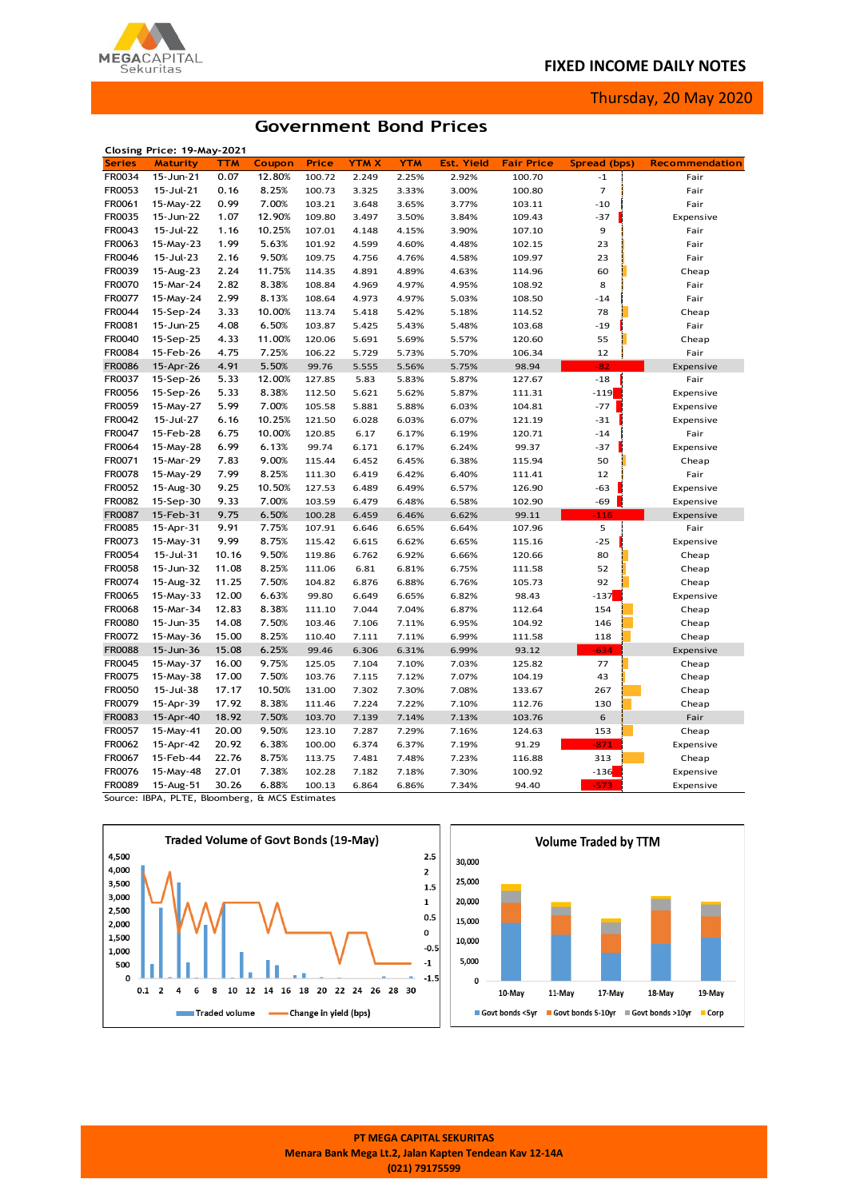## **FIXED INCOME DAILY NOTES**



Thursday, 20 May 2020

## **Government Bond Prices**

|               | Closing Price: 19-May-2021 |            |        |        |             |            |                   |                   |                |                       |
|---------------|----------------------------|------------|--------|--------|-------------|------------|-------------------|-------------------|----------------|-----------------------|
| <b>Series</b> | <b>Maturity</b>            | <b>TTM</b> | Coupon | Price  | <b>YTMX</b> | <b>YTM</b> | <b>Est. Yield</b> | <b>Fair Price</b> | Spread (bps)   | <b>Recommendation</b> |
| FR0034        | 15-Jun-21                  | 0.07       | 12.80% | 100.72 | 2.249       | 2.25%      | 2.92%             | 100.70            | $-1$           | Fair                  |
| FR0053        | 15-Jul-21                  | 0.16       | 8.25%  | 100.73 | 3.325       | 3.33%      | 3.00%             | 100.80            | $\overline{7}$ | Fair                  |
| FR0061        | 15-May-22                  | 0.99       | 7.00%  | 103.21 | 3.648       | 3.65%      | 3.77%             | 103.11            | $-10$          | Fair                  |
| FR0035        | 15-Jun-22                  | 1.07       | 12.90% | 109.80 | 3.497       | 3.50%      | 3.84%             | 109.43            | $-37$          | Expensive             |
| FR0043        | 15-Jul-22                  | 1.16       | 10.25% | 107.01 | 4.148       | 4.15%      | 3.90%             | 107.10            | 9              | Fair                  |
| FR0063        | 15-May-23                  | 1.99       | 5.63%  | 101.92 | 4.599       | 4.60%      | 4.48%             | 102.15            | 23             | Fair                  |
| FR0046        | 15-Jul-23                  | 2.16       | 9.50%  | 109.75 | 4.756       | 4.76%      | 4.58%             | 109.97            | 23             | Fair                  |
| FR0039        | 15-Aug-23                  | 2.24       | 11.75% | 114.35 | 4.891       | 4.89%      | 4.63%             | 114.96            | 60             | Cheap                 |
| <b>FR0070</b> | 15-Mar-24                  | 2.82       | 8.38%  | 108.84 | 4.969       | 4.97%      | 4.95%             | 108.92            | 8              | Fair                  |
| FR0077        | 15-May-24                  | 2.99       | 8.13%  | 108.64 | 4.973       | 4.97%      | 5.03%             | 108.50            | $-14$          | Fair                  |
| FR0044        | 15-Sep-24                  | 3.33       | 10.00% | 113.74 | 5.418       | 5.42%      | 5.18%             | 114.52            | 78             | Cheap                 |
| FR0081        | 15-Jun-25                  | 4.08       | 6.50%  | 103.87 | 5.425       | 5.43%      | 5.48%             | 103.68            | $-19$          | Fair                  |
| FR0040        | 15-Sep-25                  | 4.33       | 11.00% | 120.06 | 5.691       | 5.69%      | 5.57%             | 120.60            | 55             | Cheap                 |
| <b>FR0084</b> | 15-Feb-26                  | 4.75       | 7.25%  | 106.22 | 5.729       | 5.73%      | 5.70%             | 106.34            | 12             | Fair                  |
| <b>FR0086</b> | 15-Apr-26                  | 4.91       | 5.50%  | 99.76  | 5.555       | 5.56%      | 5.75%             | 98.94             | $-82$          | Expensive             |
| FR0037        | 15-Sep-26                  | 5.33       | 12.00% | 127.85 | 5.83        | 5.83%      | 5.87%             | 127.67            | $-18$          | Fair                  |
| FR0056        | 15-Sep-26                  | 5.33       | 8.38%  | 112.50 | 5.621       | 5.62%      | 5.87%             | 111.31            | $-119$         | Expensive             |
| FR0059        | 15-May-27                  | 5.99       | 7.00%  | 105.58 | 5.881       | 5.88%      | 6.03%             | 104.81            | $-77$          | Expensive             |
| FR0042        | 15-Jul-27                  | 6.16       | 10.25% | 121.50 | 6.028       | 6.03%      | 6.07%             | 121.19            | $-31$          | Expensive             |
| FR0047        | 15-Feb-28                  | 6.75       | 10.00% | 120.85 | 6.17        | 6.17%      | 6.19%             | 120.71            | $-14$          | Fair                  |
| FR0064        | 15-May-28                  | 6.99       | 6.13%  | 99.74  | 6.171       | 6.17%      | 6.24%             | 99.37             | $-37$          | Expensive             |
| FR0071        | 15-Mar-29                  | 7.83       | 9.00%  | 115.44 | 6.452       | 6.45%      | 6.38%             | 115.94            | 50             | Cheap                 |
| <b>FR0078</b> | 15-May-29                  | 7.99       | 8.25%  | 111.30 | 6.419       | 6.42%      | 6.40%             | 111.41            | 12             | Fair                  |
| FR0052        | 15-Aug-30                  | 9.25       | 10.50% | 127.53 | 6.489       | 6.49%      | 6.57%             | 126.90            | -63            | Expensive             |
| <b>FR0082</b> | 15-Sep-30                  | 9.33       | 7.00%  | 103.59 | 6.479       | 6.48%      | 6.58%             | 102.90            | $-69$          | Expensive             |
| <b>FR0087</b> | 15-Feb-31                  | 9.75       | 6.50%  | 100.28 | 6.459       | 6.46%      | 6.62%             | 99.11             | $-116$         | Expensive             |
| FR0085        | 15-Apr-31                  | 9.91       | 7.75%  | 107.91 | 6.646       | 6.65%      | 6.64%             | 107.96            | 5              | Fair                  |
| FR0073        | 15-May-31                  | 9.99       | 8.75%  | 115.42 | 6.615       | 6.62%      | 6.65%             | 115.16            | $-25$          | Expensive             |
| FR0054        | 15-Jul-31                  | 10.16      | 9.50%  | 119.86 | 6.762       | 6.92%      | 6.66%             | 120.66            | 80             | Cheap                 |
| FR0058        | 15-Jun-32                  | 11.08      | 8.25%  | 111.06 | 6.81        | 6.81%      | 6.75%             | 111.58            | 52             | Cheap                 |
| FR0074        | 15-Aug-32                  | 11.25      | 7.50%  | 104.82 | 6.876       | 6.88%      | 6.76%             | 105.73            | 92             | Cheap                 |
| FR0065        | 15-May-33                  | 12.00      | 6.63%  | 99.80  | 6.649       | 6.65%      | 6.82%             | 98.43             | $-137$         | Expensive             |
| <b>FR0068</b> | 15-Mar-34                  | 12.83      | 8.38%  | 111.10 | 7.044       | 7.04%      | 6.87%             | 112.64            | 154            | Cheap                 |
| FR0080        | 15-Jun-35                  | 14.08      | 7.50%  | 103.46 | 7.106       | 7.11%      | 6.95%             | 104.92            | 146            | Cheap                 |
| FR0072        | 15-May-36                  | 15.00      | 8.25%  | 110.40 | 7.111       | 7.11%      | 6.99%             | 111.58            | 118            | Cheap                 |
| <b>FR0088</b> | 15-Jun-36                  | 15.08      | 6.25%  | 99.46  | 6.306       | 6.31%      | 6.99%             | 93.12             | $-634$         | Expensive             |
| FR0045        | 15-May-37                  | 16.00      | 9.75%  | 125.05 | 7.104       | 7.10%      | 7.03%             | 125.82            | 77             | Cheap                 |
| FR0075        | 15-May-38                  | 17.00      | 7.50%  | 103.76 | 7.115       | 7.12%      | 7.07%             | 104.19            | 43             | Cheap                 |
| <b>FR0050</b> | 15-Jul-38                  | 17.17      | 10.50% | 131.00 | 7.302       | 7.30%      | 7.08%             | 133.67            | 267            | Cheap                 |
| FR0079        | 15-Apr-39                  | 17.92      | 8.38%  | 111.46 | 7.224       | 7.22%      | 7.10%             | 112.76            | 130            | Cheap                 |
| FR0083        | 15-Apr-40                  | 18.92      | 7.50%  | 103.70 | 7.139       | 7.14%      | 7.13%             | 103.76            | 6              | Fair                  |
| FR0057        | 15-May-41                  | 20.00      | 9.50%  | 123.10 | 7.287       | 7.29%      | 7.16%             | 124.63            | 153            | Cheap                 |
| FR0062        | 15-Apr-42                  | 20.92      | 6.38%  | 100.00 | 6.374       | 6.37%      | 7.19%             | 91.29             | $-871$         | Expensive             |
| FR0067        | 15-Feb-44                  | 22.76      | 8.75%  | 113.75 | 7.481       | 7.48%      | 7.23%             | 116.88            | 313            | Cheap                 |
| FR0076        | 15-May-48                  | 27.01      | 7.38%  | 102.28 | 7.182       | 7.18%      | 7.30%             | 100.92            | $-136$         | Expensive             |
| <b>FR0089</b> | 15-Aug-51                  | 30.26      | 6.88%  | 100.13 | 6.864       | 6.86%      | 7.34%             | 94.40             | $-573$         |                       |
|               |                            |            |        |        |             |            |                   |                   |                | Expensive             |

Source: IBPA, PLTE, Bloomberg, & MCS Estimates